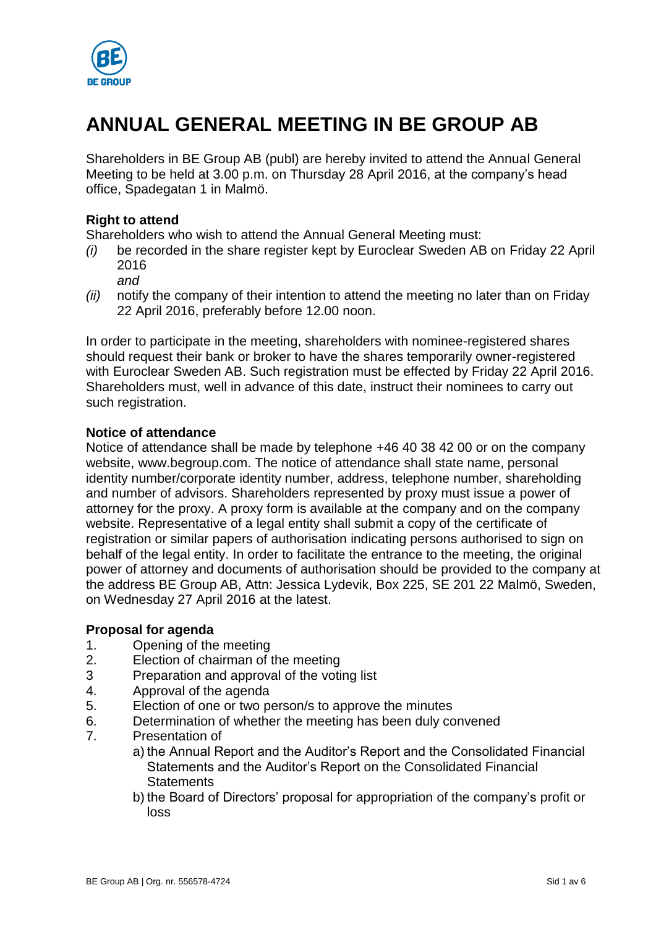

# **ANNUAL GENERAL MEETING IN BE GROUP AB**

Shareholders in BE Group AB (publ) are hereby invited to attend the Annual General Meeting to be held at 3.00 p.m. on Thursday 28 April 2016, at the company's head office, Spadegatan 1 in Malmö.

# **Right to attend**

Shareholders who wish to attend the Annual General Meeting must:

- *(i)* be recorded in the share register kept by Euroclear Sweden AB on Friday 22 April 2016
	- *and*
- *(ii)* notify the company of their intention to attend the meeting no later than on Friday 22 April 2016, preferably before 12.00 noon.

In order to participate in the meeting, shareholders with nominee-registered shares should request their bank or broker to have the shares temporarily owner-registered with Euroclear Sweden AB. Such registration must be effected by Friday 22 April 2016. Shareholders must, well in advance of this date, instruct their nominees to carry out such registration.

# **Notice of attendance**

Notice of attendance shall be made by telephone +46 40 38 42 00 or on the company website, www.begroup.com. The notice of attendance shall state name, personal identity number/corporate identity number, address, telephone number, shareholding and number of advisors. Shareholders represented by proxy must issue a power of attorney for the proxy. A proxy form is available at the company and on the company website. Representative of a legal entity shall submit a copy of the certificate of registration or similar papers of authorisation indicating persons authorised to sign on behalf of the legal entity. In order to facilitate the entrance to the meeting, the original power of attorney and documents of authorisation should be provided to the company at the address BE Group AB, Attn: Jessica Lydevik, Box 225, SE 201 22 Malmö, Sweden, on Wednesday 27 April 2016 at the latest.

# **Proposal for agenda**

- 1. Opening of the meeting
- 2. Election of chairman of the meeting
- 3 Preparation and approval of the voting list
- 4. Approval of the agenda
- 5. Election of one or two person/s to approve the minutes
- 6. Determination of whether the meeting has been duly convened
- 7. Presentation of
	- a) the Annual Report and the Auditor's Report and the Consolidated Financial Statements and the Auditor's Report on the Consolidated Financial **Statements**
	- b) the Board of Directors' proposal for appropriation of the company's profit or loss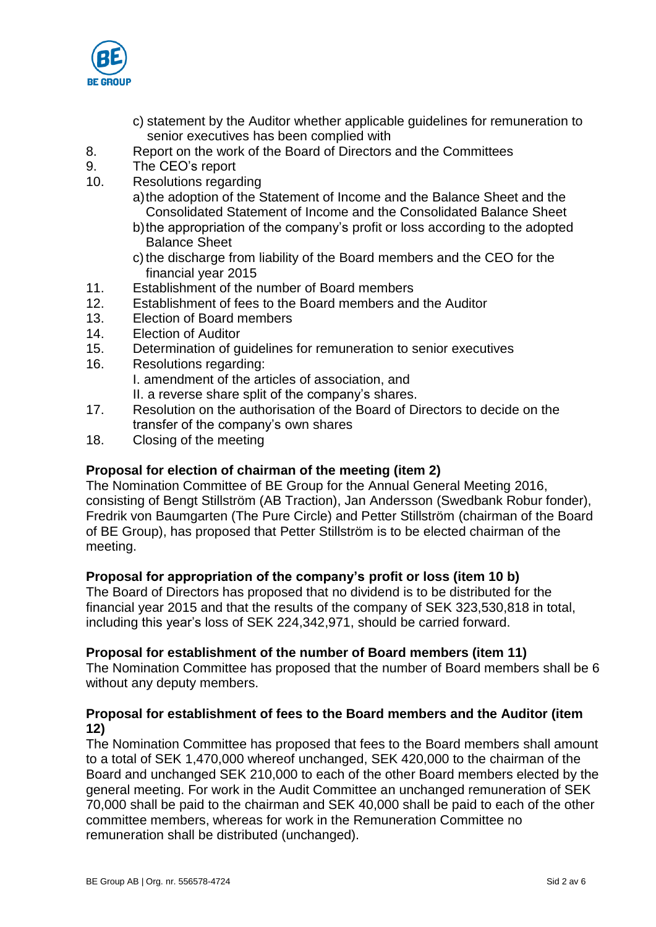

- c) statement by the Auditor whether applicable guidelines for remuneration to senior executives has been complied with
- 8. Report on the work of the Board of Directors and the Committees
- 9. The CEO's report
- 10. Resolutions regarding
	- a)the adoption of the Statement of Income and the Balance Sheet and the Consolidated Statement of Income and the Consolidated Balance Sheet
	- b)the appropriation of the company's profit or loss according to the adopted Balance Sheet
	- c) the discharge from liability of the Board members and the CEO for the financial year 2015
- 11. Establishment of the number of Board members
- 12. Establishment of fees to the Board members and the Auditor
- 13. Election of Board members
- 14. Election of Auditor
- 15. Determination of guidelines for remuneration to senior executives
- 16. Resolutions regarding: I. amendment of the articles of association, and II. a reverse share split of the company's shares.
- 17. Resolution on the authorisation of the Board of Directors to decide on the transfer of the company's own shares
- 18. Closing of the meeting

# **Proposal for election of chairman of the meeting (item 2)**

The Nomination Committee of BE Group for the Annual General Meeting 2016, consisting of Bengt Stillström (AB Traction), Jan Andersson (Swedbank Robur fonder), Fredrik von Baumgarten (The Pure Circle) and Petter Stillström (chairman of the Board of BE Group), has proposed that Petter Stillström is to be elected chairman of the meeting.

# **Proposal for appropriation of the company's profit or loss (item 10 b)**

The Board of Directors has proposed that no dividend is to be distributed for the financial year 2015 and that the results of the company of SEK 323,530,818 in total, including this year's loss of SEK 224,342,971, should be carried forward.

# **Proposal for establishment of the number of Board members (item 11)**

The Nomination Committee has proposed that the number of Board members shall be 6 without any deputy members.

# **Proposal for establishment of fees to the Board members and the Auditor (item 12)**

The Nomination Committee has proposed that fees to the Board members shall amount to a total of SEK 1,470,000 whereof unchanged, SEK 420,000 to the chairman of the Board and unchanged SEK 210,000 to each of the other Board members elected by the general meeting. For work in the Audit Committee an unchanged remuneration of SEK 70,000 shall be paid to the chairman and SEK 40,000 shall be paid to each of the other committee members, whereas for work in the Remuneration Committee no remuneration shall be distributed (unchanged).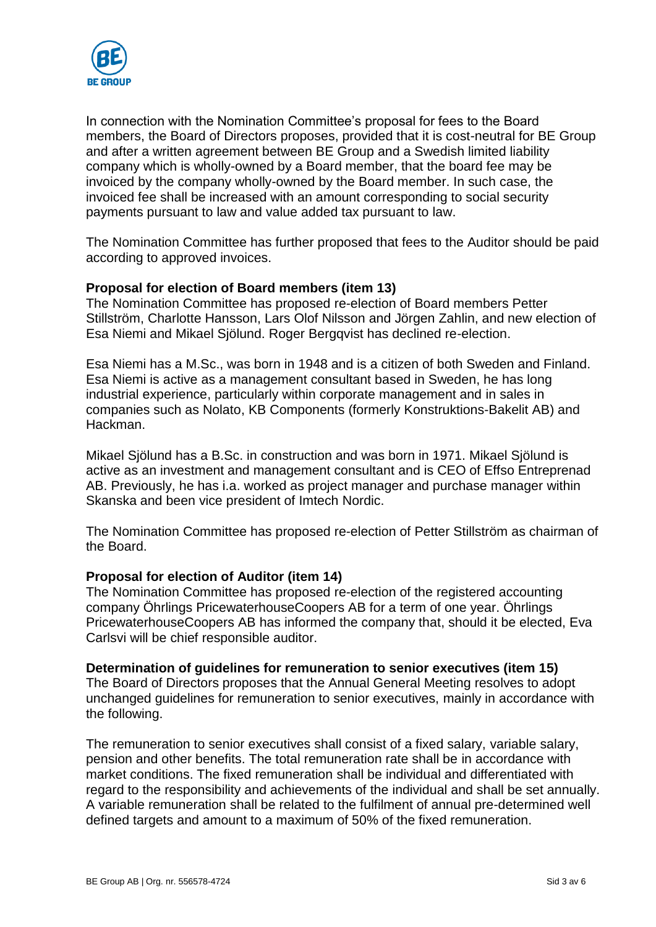

In connection with the Nomination Committee's proposal for fees to the Board members, the Board of Directors proposes, provided that it is cost-neutral for BE Group and after a written agreement between BE Group and a Swedish limited liability company which is wholly-owned by a Board member, that the board fee may be invoiced by the company wholly-owned by the Board member. In such case, the invoiced fee shall be increased with an amount corresponding to social security payments pursuant to law and value added tax pursuant to law.

The Nomination Committee has further proposed that fees to the Auditor should be paid according to approved invoices.

# **Proposal for election of Board members (item 13)**

The Nomination Committee has proposed re-election of Board members Petter Stillström, Charlotte Hansson, Lars Olof Nilsson and Jörgen Zahlin, and new election of Esa Niemi and Mikael Sjölund. Roger Bergqvist has declined re-election.

Esa Niemi has a M.Sc., was born in 1948 and is a citizen of both Sweden and Finland. Esa Niemi is active as a management consultant based in Sweden, he has long industrial experience, particularly within corporate management and in sales in companies such as Nolato, KB Components (formerly Konstruktions-Bakelit AB) and Hackman.

Mikael Sjölund has a B.Sc. in construction and was born in 1971. Mikael Sjölund is active as an investment and management consultant and is CEO of Effso Entreprenad AB. Previously, he has i.a. worked as project manager and purchase manager within Skanska and been vice president of Imtech Nordic.

The Nomination Committee has proposed re-election of Petter Stillström as chairman of the Board.

#### **Proposal for election of Auditor (item 14)**

The Nomination Committee has proposed re-election of the registered accounting company Öhrlings PricewaterhouseCoopers AB for a term of one year. Öhrlings PricewaterhouseCoopers AB has informed the company that, should it be elected, Eva Carlsvi will be chief responsible auditor.

#### **Determination of guidelines for remuneration to senior executives (item 15)**

The Board of Directors proposes that the Annual General Meeting resolves to adopt unchanged guidelines for remuneration to senior executives, mainly in accordance with the following.

The remuneration to senior executives shall consist of a fixed salary, variable salary, pension and other benefits. The total remuneration rate shall be in accordance with market conditions. The fixed remuneration shall be individual and differentiated with regard to the responsibility and achievements of the individual and shall be set annually. A variable remuneration shall be related to the fulfilment of annual pre-determined well defined targets and amount to a maximum of 50% of the fixed remuneration.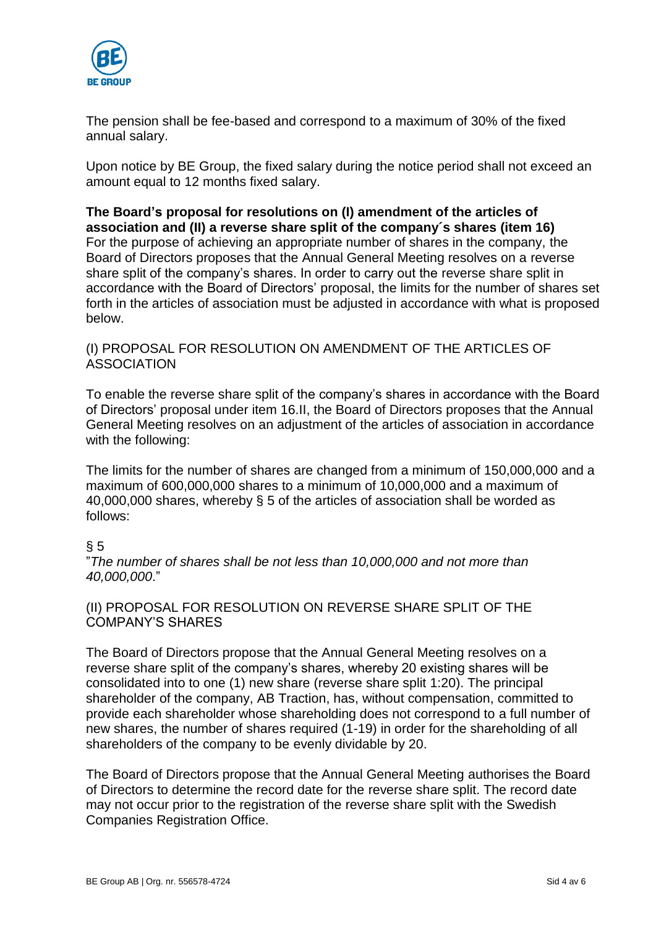

The pension shall be fee-based and correspond to a maximum of 30% of the fixed annual salary.

Upon notice by BE Group, the fixed salary during the notice period shall not exceed an amount equal to 12 months fixed salary.

#### **The Board's proposal for resolutions on (I) amendment of the articles of association and (II) a reverse share split of the company´s shares (item 16)** For the purpose of achieving an appropriate number of shares in the company, the Board of Directors proposes that the Annual General Meeting resolves on a reverse share split of the company's shares. In order to carry out the reverse share split in accordance with the Board of Directors' proposal, the limits for the number of shares set forth in the articles of association must be adjusted in accordance with what is proposed below.

# (I) PROPOSAL FOR RESOLUTION ON AMENDMENT OF THE ARTICLES OF **ASSOCIATION**

To enable the reverse share split of the company's shares in accordance with the Board of Directors' proposal under item 16.II, the Board of Directors proposes that the Annual General Meeting resolves on an adjustment of the articles of association in accordance with the following:

The limits for the number of shares are changed from a minimum of 150,000,000 and a maximum of 600,000,000 shares to a minimum of 10,000,000 and a maximum of 40,000,000 shares, whereby § 5 of the articles of association shall be worded as follows:

# $§ 5$

"*The number of shares shall be not less than 10,000,000 and not more than 40,000,000*."

# (II) PROPOSAL FOR RESOLUTION ON REVERSE SHARE SPLIT OF THE COMPANY'S SHARES

The Board of Directors propose that the Annual General Meeting resolves on a reverse share split of the company's shares, whereby 20 existing shares will be consolidated into to one (1) new share (reverse share split 1:20). The principal shareholder of the company, AB Traction, has, without compensation, committed to provide each shareholder whose shareholding does not correspond to a full number of new shares, the number of shares required (1-19) in order for the shareholding of all shareholders of the company to be evenly dividable by 20.

The Board of Directors propose that the Annual General Meeting authorises the Board of Directors to determine the record date for the reverse share split. The record date may not occur prior to the registration of the reverse share split with the Swedish Companies Registration Office.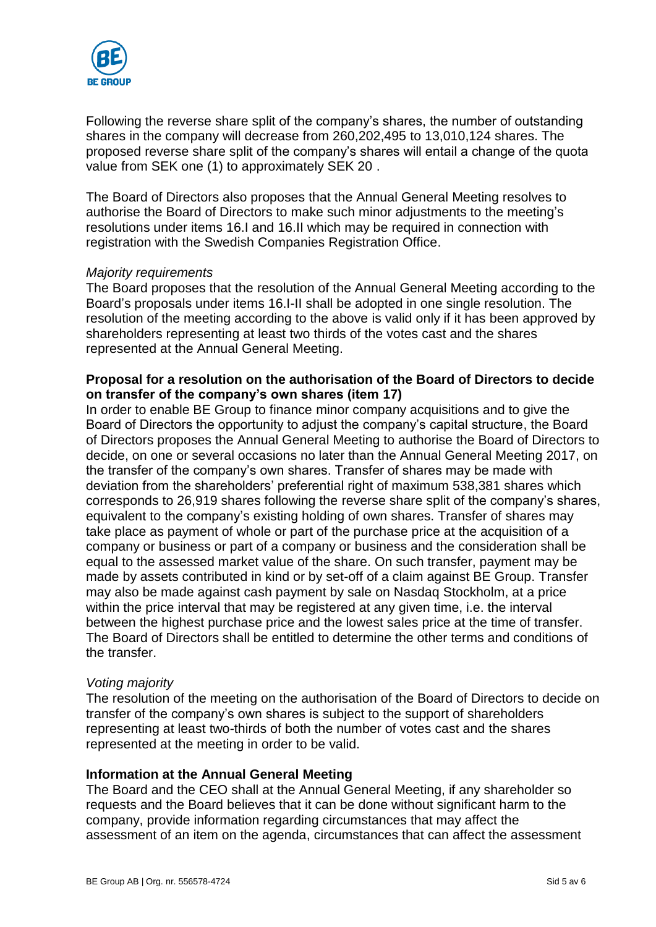

Following the reverse share split of the company's shares, the number of outstanding shares in the company will decrease from 260,202,495 to 13,010,124 shares. The proposed reverse share split of the company's shares will entail a change of the quota value from SEK one (1) to approximately SEK 20 .

The Board of Directors also proposes that the Annual General Meeting resolves to authorise the Board of Directors to make such minor adjustments to the meeting's resolutions under items 16.I and 16.II which may be required in connection with registration with the Swedish Companies Registration Office.

#### *Majority requirements*

The Board proposes that the resolution of the Annual General Meeting according to the Board's proposals under items 16.I-II shall be adopted in one single resolution. The resolution of the meeting according to the above is valid only if it has been approved by shareholders representing at least two thirds of the votes cast and the shares represented at the Annual General Meeting.

#### **Proposal for a resolution on the authorisation of the Board of Directors to decide on transfer of the company's own shares (item 17)**

In order to enable BE Group to finance minor company acquisitions and to give the Board of Directors the opportunity to adjust the company's capital structure, the Board of Directors proposes the Annual General Meeting to authorise the Board of Directors to decide, on one or several occasions no later than the Annual General Meeting 2017, on the transfer of the company's own shares. Transfer of shares may be made with deviation from the shareholders' preferential right of maximum 538,381 shares which corresponds to 26,919 shares following the reverse share split of the company's shares, equivalent to the company's existing holding of own shares. Transfer of shares may take place as payment of whole or part of the purchase price at the acquisition of a company or business or part of a company or business and the consideration shall be equal to the assessed market value of the share. On such transfer, payment may be made by assets contributed in kind or by set-off of a claim against BE Group. Transfer may also be made against cash payment by sale on Nasdaq Stockholm, at a price within the price interval that may be registered at any given time, i.e. the interval between the highest purchase price and the lowest sales price at the time of transfer. The Board of Directors shall be entitled to determine the other terms and conditions of the transfer.

#### *Voting majority*

The resolution of the meeting on the authorisation of the Board of Directors to decide on transfer of the company's own shares is subject to the support of shareholders representing at least two-thirds of both the number of votes cast and the shares represented at the meeting in order to be valid.

#### **Information at the Annual General Meeting**

The Board and the CEO shall at the Annual General Meeting, if any shareholder so requests and the Board believes that it can be done without significant harm to the company, provide information regarding circumstances that may affect the assessment of an item on the agenda, circumstances that can affect the assessment